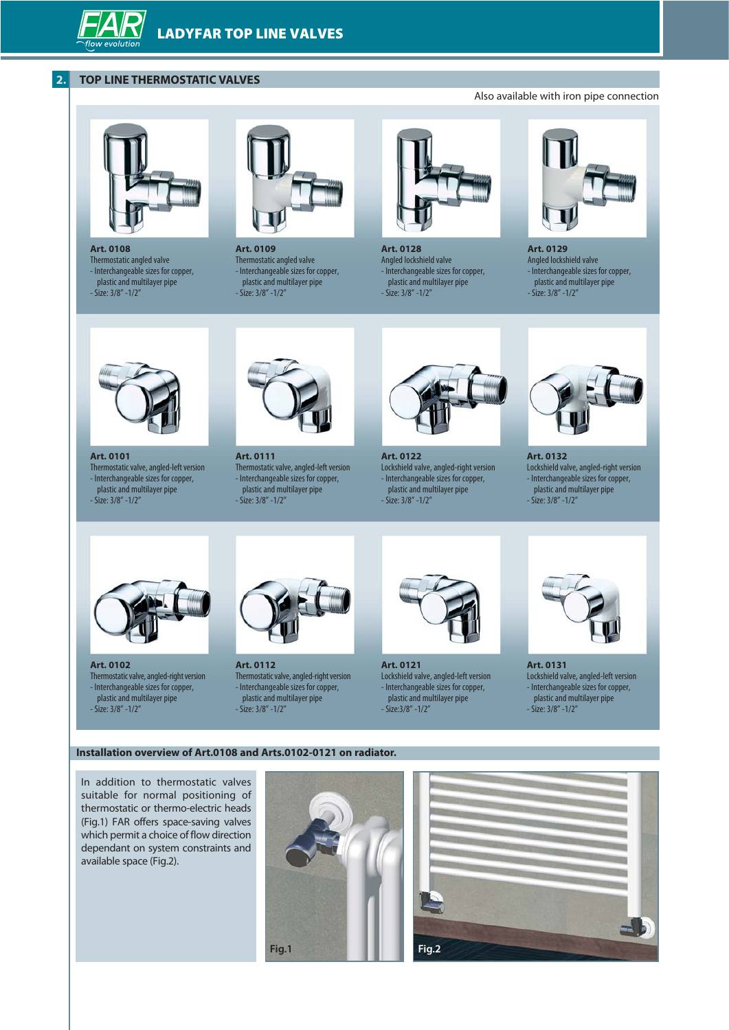# **2. TOPFAR THERMOSTATIC VALVES**

**TOPFAR VALVES**



**Art. 0108**  Thermostatic angled valve - Interchangeable sizes for copper, plastic and multilayer pipe - Size: 3/8" -1/2"



**Art. 0109**  Thermostatic angled valve - Interchangeable sizes for copper, plastic and multilayer pipe - Size: 3/8" -1/2"



**Art. 0128**  Angled lockshield valve - Interchangeable sizes for copper, plastic and multilayer pipe - Size: 3/8" -1/2"



**Art. 0129**  Angled lockshield valve - Interchangeable sizes for copper, plastic and multilayer pipe





**Art. 0101**  Thermostatic valve, angled-left version - Interchangeable sizes for copper, plastic and multilayer pipe - Size: 3/8" -1/2"



**Art. 0111**  Thermostatic valve, angled-left version - Interchangeable sizes for copper, plastic and multilayer pipe - Size: 3/8" -1/2"



**Art. 0122**  Lockshield valve, angled-right version - Interchangeable sizes for copper, plastic and multilayer pipe - Size: 3/8" -1/2"



**Art. 0132**  Lockshield valve, angled-right version - Interchangeable sizes for copper,

plastic and multilayer pipe - Size: 3/8" -1/2"



**Art. 0102**  Thermostatic valve, angled-right version - Interchangeable sizes for copper, plastic and multilayer pipe - Size: 3/8" -1/2"



**Art. 0112**  Thermostatic valve, angled-right version - Interchangeable sizes for copper, plastic and multilayer pipe - Size: 3/8" -1/2"



**Art. 0121**  Lockshield valve, angled-left version - Interchangeable sizes for copper, plastic and multilayer pipe - Size: 3/8" -1/2"



**Art. 0131**  Lockshield valve, angled-left version - Interchangeable sizes for copper, plastic and multilayer pipe - Size: 3/8" -1/2"

#### **Installation overview of Art.0108 and Arts.0102-0121 on radiator.**

In addition to thermostatic valves suitable for normal positioning of thermostatic or thermo-electric heads (Fig.1) FAR offers space-saving valves which permit a choice of flow direction dependant on system constraints and available space (Fig.2).





## Also available with iron pipe connection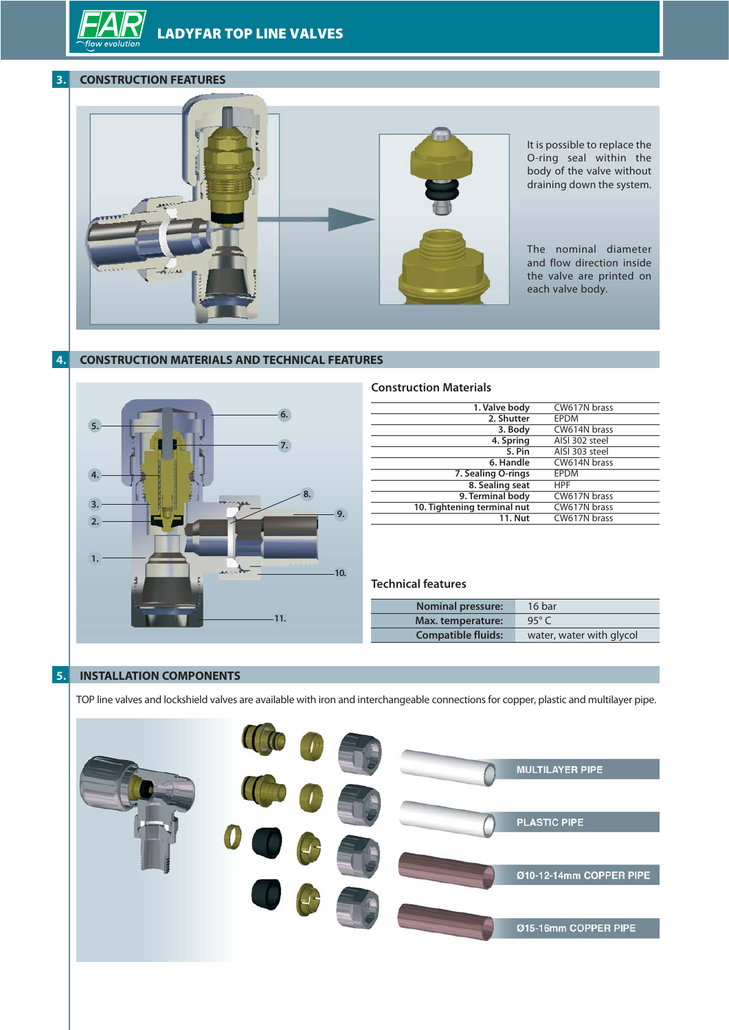**TOPFAR VALVES**

## **3. CONSTRUCTION FEATURES**



# **4. CONSTRUCTION MATERIALS AND TECHNICAL FEATURES**



### **Construction Materials**

|    | 1. Valve body               | CW617N brass   |
|----|-----------------------------|----------------|
|    | 2. Shutter                  | <b>EPDM</b>    |
|    | 3. Body                     | CW614N brass   |
|    | 4. Spring                   | AISI 302 steel |
|    | 5. Pin                      | AISI 303 steel |
|    | 6. Handle                   | CW614N brass   |
|    | 7. Sealing O-rings          | <b>EPDM</b>    |
|    | 8. Sealing seat             | <b>HPF</b>     |
|    | 9. Terminal body            | CW617N brass   |
| 9. | 10. Tightening terminal nut | CW617N brass   |
|    | <b>11. Nut</b>              | CW617N brass   |
|    |                             |                |

## **Technical features**

| <b>Nominal pressure:</b>  | 16 bar                   |
|---------------------------|--------------------------|
| Max. temperature:         | 95 $\degree$ C           |
| <b>Compatible fluids:</b> | water, water with glycol |

# **5. INSTALLATION COMPONENTS**

TOPFAR valves and lockshield valves are available with iron and interchangeable connections for copper, plastic and multilayer pipe.

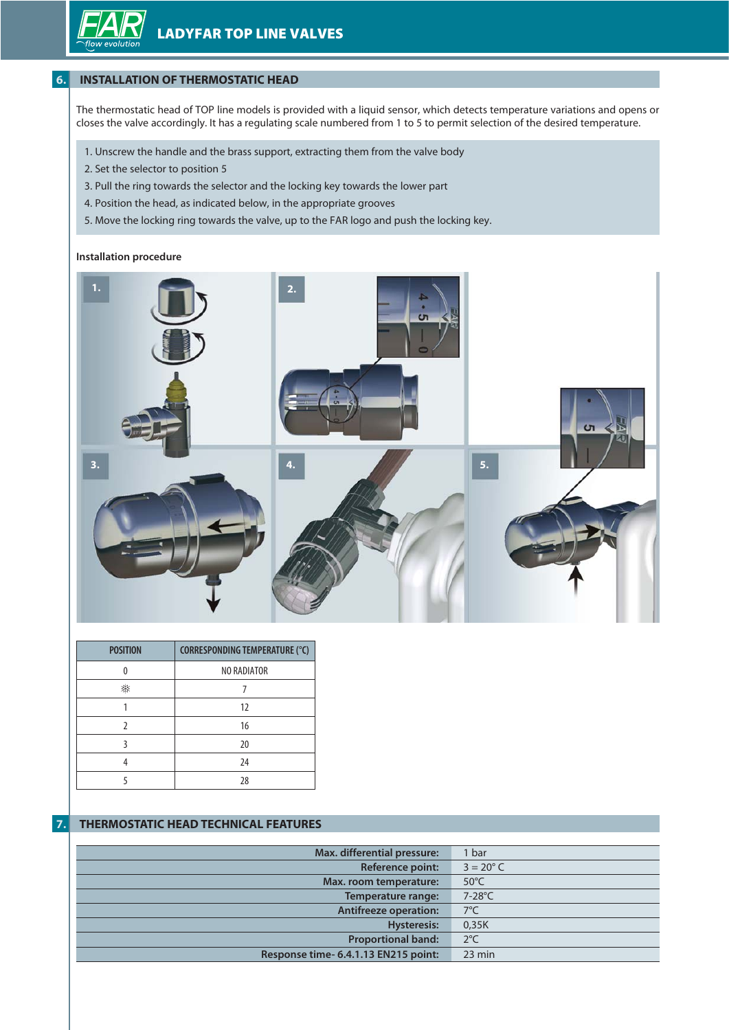# **6. INSTALLATION OF THERMOSTATIC HEAD**

The thermostatic head of TOPFAR models is provided with a liquid sensor, which detects temperature variations and opens or closes the valve accordingly. It has a regulating scale numbered from 1 to 5 to permit selection of the desired temperature.

- 1. Unscrew the handle and the brass support, extracting them from the valve body
- 2. Set the selector to position 5
- 3. Pull the ring towards the selector and the locking key towards the lower part
- 4. Position the head, as indicated below, in the appropriate grooves
- 5. Move the locking ring towards the valve, up to the FAR logo and push the locking key.

### **Installation procedure**



| <b>POSITION</b> | <b>CORRESPONDING TEMPERATURE (°C)</b> |
|-----------------|---------------------------------------|
|                 | NO RADIATOR                           |
|                 |                                       |
|                 | 12                                    |
|                 | 16                                    |
|                 | 20                                    |
|                 | 24                                    |
|                 | 28                                    |

# **7. THERMOSTATIC HEAD TECHNICAL FEATURES**

| Max. differential pressure:          | 1 bar              |
|--------------------------------------|--------------------|
| <b>Reference point:</b>              | $3 = 20^{\circ}$ C |
| Max. room temperature:               | $50^{\circ}$ C     |
| Temperature range:                   | 7-28°C             |
| <b>Antifreeze operation:</b>         | $7^{\circ}$ C      |
| <b>Hysteresis:</b>                   | 0,35K              |
| <b>Proportional band:</b>            | $2^{\circ}C$       |
| Response time- 6.4.1.13 EN215 point: | $23$ min           |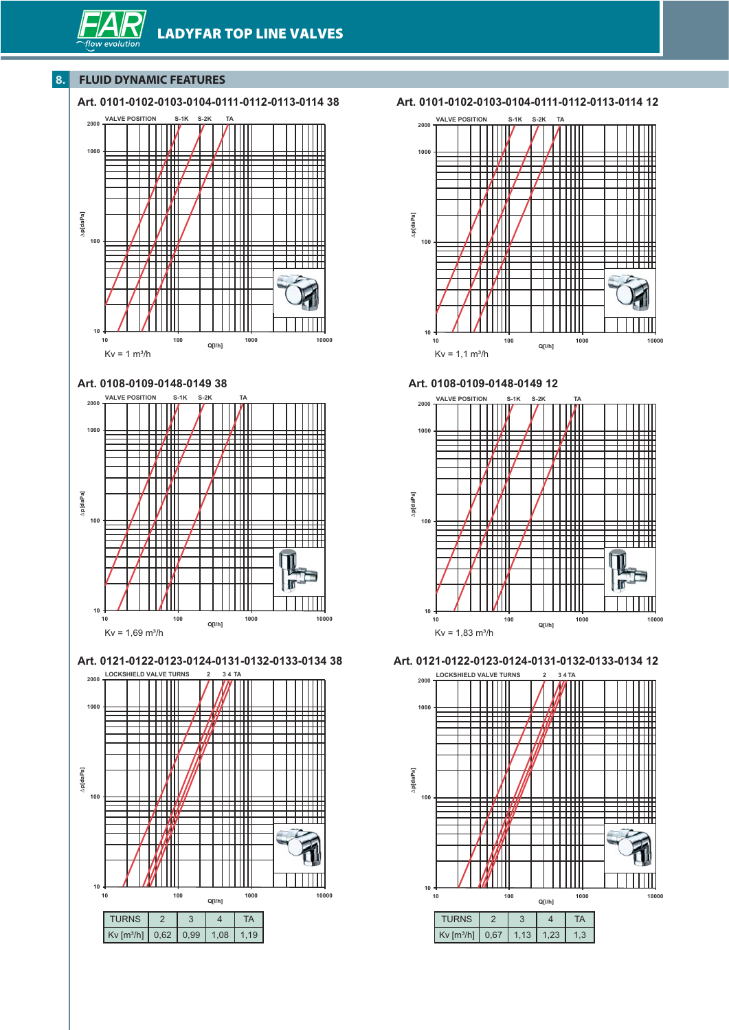# **8. FLUID DYNAMIC FEATURES**

## **Art. 0101-0102-0103-0104-0111-0112-0113-0114 38**





 $Kv = 1,69$  m<sup>3</sup>/h

**Q[l/h]**



**Art. 0101-0102-0103-0104-0111-0112-0113-0114 12**



**Art. 0108-0109-0148-0149 12**



**Art. 0121-0122-0123-0124-0131-0132-0133-0134 12**